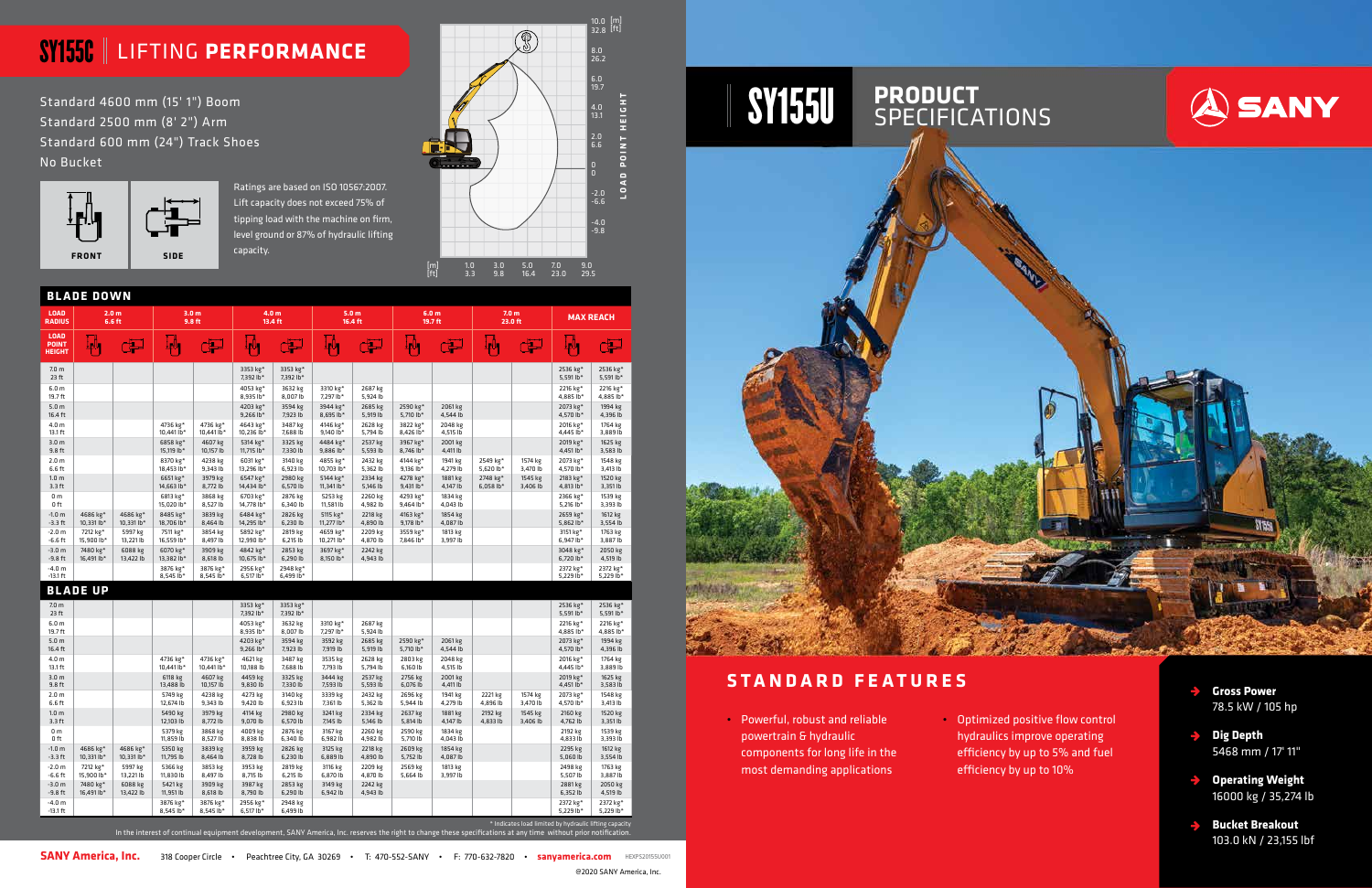- **Gross Power**  78.5 kW / 105 hp
- **Dig Depth** 5468 mm / 17' 11"
- **Operating Weight** 16000 kg / 35,274 lb
- **Bucket Breakout** 103.0 kN / 23,155 lbf

SY155U **PRODUCT** SPECIFICATIONS

| <b>LOAD</b><br><b>RADIUS</b>                 | 2.0 <sub>m</sub><br>6.6 ft |                                    | 3.0 <sub>m</sub><br>9.8 ft         |                                    | 4.0 <sub>m</sub><br>13.4 ft        |                         | 5.0 <sub>m</sub><br>16.4 ft |                     | 6.0 <sub>m</sub><br>19.7 ft |                     | 7.0 <sub>m</sub><br>23.0 ft |                     | <b>MAX REACH</b>        |                                   |
|----------------------------------------------|----------------------------|------------------------------------|------------------------------------|------------------------------------|------------------------------------|-------------------------|-----------------------------|---------------------|-----------------------------|---------------------|-----------------------------|---------------------|-------------------------|-----------------------------------|
| <b>LOAD</b><br><b>POINT</b><br><b>HEIGHT</b> | بالبا                      | لكن                                | والون                              | لتق                                | والمبه                             | لتق                     | ⊥Ոլ                         | لتبل                | والوبه                      | تنی                 | ⊥իկ                         | لتق                 | ⊥րՈւ                    | ہے                                |
| 7.0 <sub>m</sub><br>23 ft                    |                            |                                    |                                    |                                    | 3353 kg*<br>7.392 lb*              | 3353 kg*<br>7,392 lb*   |                             |                     |                             |                     |                             |                     | 2536 kg*<br>5,591 lb*   | 2536 kg*<br>5,591 $lb*$           |
| 6.0 <sub>m</sub><br>19.7 ft                  |                            |                                    |                                    |                                    | 4053 kg*<br>8,935 lb*              | 3632 kg<br>8,007 lb     | 3310 kg*<br>7,297 lb*       | 2687 kg<br>5,924 lb |                             |                     |                             |                     | 2216 kg*<br>4,885 lb*   | 2216 kg*<br>4,885 lb*             |
| 5.0 <sub>m</sub><br>16.4 ft                  |                            |                                    |                                    |                                    | 4203 kg*<br>$9,266$ lb*            | 3594 kg<br>7,923 lb     | 3944 kg*<br>8,695 lb*       | 2685 kg<br>5,919 lb | 2590 kg*<br>5,710 lb*       | 2061 kg<br>4,544 lb |                             |                     | 2073 kg*<br>4,570 lb*   | 1994 kg<br>4,396 lb               |
| 4.0 <sub>m</sub><br>13.1 ft                  |                            |                                    | 4736 kg*<br>10.441 lb*             | 4736 kg*<br>10,441 lb <sup>*</sup> | 4643 kg*<br>10,236 lb*             | 3487 kg<br>7,688 lb     | 4146 kg*<br>9,140 lb*       | 2628 kg<br>5,794 lb | 3822 kg*<br>8,426 lb*       | 2048 kg<br>4,515 lb |                             |                     | 2016 kg*<br>4,445 lb*   | 1764 kg<br>3,889 lb               |
| 3.0 <sub>m</sub><br>9.8 ft                   |                            |                                    | 6858 kg*<br>15,119 lb*             | 4607 kg<br>10,157 lb               | 5314 kg*<br>11,715 lb*             | 3325 kg<br>7,330 lb     | 4484 kg*<br>9,886 lb*       | 2537 kg<br>5,593 lb | 3967 kg*<br>8,746 lb*       | 2001 kg<br>4,411 lb |                             |                     | 2019 kg*<br>4,451 lb*   | 1625 kg<br>3,583 lb               |
| 2.0 <sub>m</sub><br>6.6 ft                   |                            |                                    | 8370 kg*<br>18,453 lb*             | 4238 kg<br>9,343 lb                | 6031 kg*<br>13,296 lb*             | 3140 kg<br>6,923 lb     | 4855 kg*<br>10,703 lb*      | 2432 kg<br>5,362 lb | 4144 kg*<br>9,136 lb*       | 1941 kg<br>4,279 lb | 2549 kg*<br>5,620 $1b*$     | 1574 kg<br>3,470 lb | 2073 kg*<br>4,570 lb*   | 1548 kg<br>3,413 lb               |
| 1.0 <sub>m</sub><br>$3.3$ ft                 |                            |                                    | 6651 kg*<br>14,663 lb*             | 3979 kg<br>8,772 lb                | 6547 kg*<br>14,434 lb*             | 2980 kg<br>6,570 lb     | 5144 kg*<br>11,341 lb*      | 2334 kg<br>5,146 lb | 4278 kg*<br>9,431 lb*       | 1881 kg<br>4,147 lb | 2748 kg*<br>$6,058$ lb*     | 1545 kg<br>3,406 lb | 2183 kg*<br>4,813 lb*   | 1520 kg<br>3,351 lb               |
| 0 <sub>m</sub><br>0 <sub>ft</sub>            |                            |                                    | 6813 kg*<br>15,020 lb <sup>*</sup> | 3868 kg<br>8,527 lb                | 6703 kg*<br>14,778 lb <sup>+</sup> | 2876 kg<br>6,340 lb     | 5253 kg<br>11,581 lb        | 2260 kg<br>4,982 lb | 4293 kg*<br>9,464 lb*       | 1834 kg<br>4,043 lb |                             |                     | 2366 kg*<br>5,216 lb*   | 1539 kg<br>3,393 lb               |
| $-1.0 m$<br>$-3.3$ ft                        | 4686 kg*<br>10.331 lb*     | 4686 kg*<br>10.331 lb <sup>*</sup> | 8485 kg*<br>18.706 lb*             | 3839 kg<br>8,464 lb                | 6484 kg*<br>14,295 lb*             | 2826 kg<br>6,230 lb     | 5115 kg*<br>11,277 lb*      | 2218 kg<br>4,890 lb | 4163 kg*<br>9.178 lb*       | 1854 kg<br>4.087 lb |                             |                     | 2659 kg*<br>5,862 $Ib*$ | 1612 kg<br>3,554 lb               |
| $-2.0 m$<br>$-6.6$ ft                        | 7212 kg*<br>15,900 lb*     | 5997 kg<br>13,221 lb               | 7511 kg*<br>16,559 lb*             | 3854 kg<br>8,497 lb                | 5892 kg*<br>12,990 lb*             | 2819 kg<br>6,215 lb     | 4659 kg*<br>10,271 lb*      | 2209 kg<br>4,870 lb | 3559 kg*<br>7,846 lb*       | 1813 kg<br>3,997 lb |                             |                     | 3151 kg*<br>6,947 lb*   | 1763 kg<br>3,887 lb               |
| $-3.0 m$<br>$-9.8$ ft                        | 7480 kg*<br>16,491 lb*     | 6088 kg<br>13,422 lb               | 6070 kg*<br>13,382 lb*             | 3909 kg<br>8,618 lb                | 4842 kg*<br>10,675 lb*             | 2853 kg<br>6,290 lb     | 3697 kg*<br>8,150 lb*       | 2242 kg<br>4,943 lb |                             |                     |                             |                     | 3048 kg*<br>6,720 lb*   | 2050 kg<br>4,519 lb               |
| $-4.0 m$<br>$-13.1$ ft                       |                            |                                    | 3876 kg*<br>8,545 lb*              | 3876 kg*<br>8,545 lb*              | 2956 kg*<br>$6,517$ lb*            | 2948 kg*<br>$6,499$ lb* |                             |                     |                             |                     |                             |                     | 2372 kg*<br>5,229 lb*   | 2372 kg*<br>5,229 lb*             |
|                                              | <b>BLADE UP</b>            |                                    |                                    |                                    |                                    |                         |                             |                     |                             |                     |                             |                     |                         |                                   |
| 7.0 <sub>m</sub><br>23 ft                    |                            |                                    |                                    |                                    | 3353 kg*<br>7,392 lb*              | 3353 kg*<br>7,392 lb*   |                             |                     |                             |                     |                             |                     | 2536 kg*<br>5,591 lb*   | 2536 kg*<br>5,591 lb <sup>*</sup> |
| 6.0 <sub>m</sub><br>19.7 ft                  |                            |                                    |                                    |                                    | 4053 kg*<br>8,935 lb*              | 3632 kg<br>8,007 lb     | 3310 kg*<br>7,297 lb*       | 2687 kg<br>5,924 lb |                             |                     |                             |                     | 2216 kg*<br>4,885 lb*   | 2216 kg*<br>4,885 lb*             |
| 5.0 <sub>m</sub><br>16.4 ft                  |                            |                                    |                                    |                                    | 4203 kg*<br>9,266 lb*              | 3594 kg<br>7,923 lb     | 3592 kg<br>7,919 lb         | 2685 kg<br>5,919 lb | 2590 kg*<br>5,710 lb*       | 2061 kg<br>4,544 lb |                             |                     | 2073 kg*<br>4,570 lb*   | 1994 kg<br>4,396 lb               |
| 4.0 <sub>m</sub><br>13.1 ft                  |                            |                                    | 4736 kg*<br>10,441 lb <sup>*</sup> | 4736 kg*<br>10,441 lb*             | 4621 kg<br>10,188 lb               | 3487 kg<br>7,688 lb     | 3535 kg<br>7,793 lb         | 2628 kg<br>5,794 lb | 2803 kg<br>6,160 lb         | 2048 kg<br>4,515 lb |                             |                     | 2016 kg*<br>4,445 lb*   | 1764 kg<br>3,889 lb               |
| 3.0 <sub>m</sub><br>9.8 ft                   |                            |                                    | 6118 kg<br>13,488 lb               | 4607 kg<br>10,157 lb               | 4459 kg<br>9,830 lb                | 3325 kg<br>7,330 lb     | 3444 kg<br>7,593 lb         | 2537 kg<br>5,593 lb | 2756 kg<br>6,076 lb         | 2001 kg<br>4,411 lb |                             |                     | 2019 kg*<br>4,451 lb*   | 1625 kg<br>3,583 lb               |
| 2.0 <sub>m</sub><br>6.6 ft                   |                            |                                    | 5749 kg<br>12,674 lb               | 4238 kg<br>9,343 lb                | 4273 kg<br>9,420 lb                | 3140 kg<br>6,923 lb     | 3339 kg<br>7,361 lb         | 2432 kg<br>5,362 lb | 2696 kg<br>5,944 lb         | 1941 kg<br>4,279 lb | 2221 kg<br>4,896 lb         | 1574 kg<br>3,470 lb | 2073 kg*<br>4,570 lb*   | 1548 kg<br>3,413 lb               |
| 1.0 <sub>m</sub><br>$3.3$ ft                 |                            |                                    | 5490 kg<br>12,103 lb               | 3979 kg<br>8,772 lb                | 4114 kg<br>9,070 lb                | 2980 kg<br>6,570 lb     | 3241 kg<br>7,145 lb         | 2334 kg<br>5,146 lb | 2637 kg<br>5,814 lb         | 1881 kg<br>4,147 lb | 2192 kg<br>4.833 lb         | 1545 kg<br>3,406 lb | 2160 kg<br>4,762 lb     | 1520 kg<br>3,351 lb               |
| 0 <sub>m</sub><br>0 ft                       |                            |                                    | 5379 kg<br>11,859 lb               | 3868 kg<br>8,527 lb                | 4009 kg<br>8,838 lb                | 2876 kg<br>6,340 lb     | 3167 kg<br>6,982 lb         | 2260 kg<br>4,982 lb | 2590 kg<br>5,710 lb         | 1834 kg<br>4,043 lb |                             |                     | 2192 kg<br>4,833 lb     | 1539 kg<br>3,393 lb               |
| $-1.0 m$<br>$-3.3$ ft                        | 4686 kg*<br>10,331 lb*     | 4686 kg*<br>10,331 lb*             | 5350 kg<br>11,795 lb               | 3839 kg<br>8,464 lb                | 3959 kg<br>8,728 lb                | 2826 kg<br>6,230 lb     | 3125 kg<br>6,889 lb         | 2218 kg<br>4,890 lb | 2609 kg<br>5,752 lb         | 1854 kg<br>4,087 lb |                             |                     | 2295 kg<br>5,060 lb     | 1612 kg<br>3,554 lb               |
| $-2.0 m$<br>$-6.6$ ft                        | 7212 kg*<br>15,900 lb*     | 5997 kg<br>13,221 lb               | 5366 kg<br>11,830 lb               | 3853 kg<br>8,497 lb                | 3953 kg<br>8,715 lb                | 2819 kg<br>6,215 lb     | 3116 kg<br>6,870 lb         | 2209 kg<br>4,870 lb | 2569 kg<br>5,664 lb         | 1813 kg<br>3,997 lb |                             |                     | 2498 kg<br>5,507 lb     | 1763 kg<br>3,887 lb               |
| $-3.0 m$<br>$-9.8$ ft                        | 7480 kg*<br>16,491 lb*     | 6088 kg<br>13,422 lb               | 5421 kg<br>11,951 lb               | 3909 kg<br>8,618 lb                | 3987 kg<br>8,790 lb                | 2853 kg<br>6,290 lb     | 3149 kg<br>6,942 lb         | 2242 kg<br>4,943 lb |                             |                     |                             |                     | 2881 kg<br>6,352 lb     | 2050 kg<br>4,519 lb               |

-4.0 m -13.1 ft 3876 kg\* 8,545 lb\*

3876 kg\* 8,545 lb\*

2956 kg\* 6,517 lb\*

2948 kg 6,499 lb

2372 kg\* 5,229 lb\*





2372 kg\* 5,229 lb\*

## SY155C LIFTING **PERFORMANCE**

Standard 4600 mm (15' 1") Boom Standard 2500 mm (8' 2") Arm Standard 600 mm (24") Track Shoes No Bucket

> Ratings are based on ISO 10567:2007. Lift capacity does not exceed 75% of tipping load with the machine on firm, level ground or 87% of hydraulic lifting



## **STANDARD FEATURES**

• Powerful, robust and reliable powertrain & hydraulic components for long life in the most demanding applications

• Optimized positive flow control hydraulics improve operating efficiency by up to 5% and fuel efficiency by up to 10%

\* Indicates load limited by hydraulic lifting capacity In the interest of continual equipment development, SANY America, Inc. reserves the right to change these specifications at any time without prior notification.



### **BLADE DOWN**